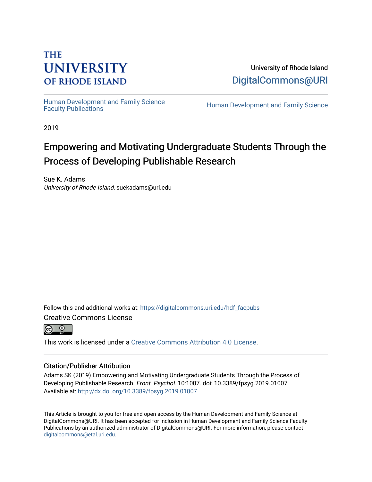## **THE UNIVERSITY OF RHODE ISLAND**

University of Rhode Island [DigitalCommons@URI](https://digitalcommons.uri.edu/) 

Human Development and Family Science<br>Faculty Publications

Human Development and Family Science

2019

# Empowering and Motivating Undergraduate Students Through the Process of Developing Publishable Research

Sue K. Adams University of Rhode Island, suekadams@uri.edu

Follow this and additional works at: [https://digitalcommons.uri.edu/hdf\\_facpubs](https://digitalcommons.uri.edu/hdf_facpubs?utm_source=digitalcommons.uri.edu%2Fhdf_facpubs%2F54&utm_medium=PDF&utm_campaign=PDFCoverPages) 

Creative Commons License

 $\odot$   $\odot$ 

This work is licensed under a [Creative Commons Attribution 4.0 License](https://creativecommons.org/licenses/by/4.0/).

## Citation/Publisher Attribution

Adams SK (2019) Empowering and Motivating Undergraduate Students Through the Process of Developing Publishable Research. Front. Psychol. 10:1007. doi: 10.3389/fpsyg.2019.01007 Available at:<http://dx.doi.org/10.3389/fpsyg.2019.01007>

This Article is brought to you for free and open access by the Human Development and Family Science at DigitalCommons@URI. It has been accepted for inclusion in Human Development and Family Science Faculty Publications by an authorized administrator of DigitalCommons@URI. For more information, please contact [digitalcommons@etal.uri.edu](mailto:digitalcommons@etal.uri.edu).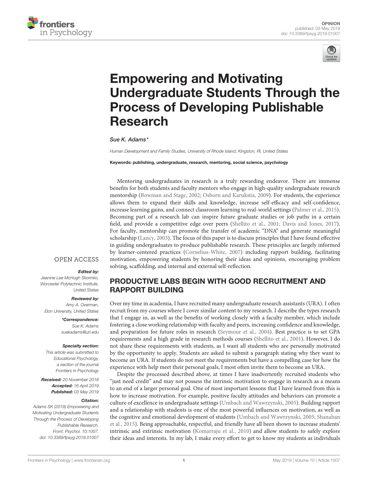



# Empowering and Motivating [Undergraduate Students Through the](https://www.frontiersin.org/articles/10.3389/fpsyg.2019.01007/full) Process of Developing Publishable Research

[Sue K. Adams\\*](http://loop.frontiersin.org/people/603293/overview)

*Human Development and Family Studies, University of Rhode Island, Kingston, RI, United States*

Keywords: publishing, undergraduate, research, mentoring, social science, psychology

Mentoring undergraduates in research is a truly rewarding endeavor. There are immense benefits for both students and faculty mentors who engage in high-quality undergraduate research mentorship [\(Bowman and Stage, 2002;](#page-3-0) [Osborn and Karukstis, 2009\)](#page-3-1). For students, the experience allows them to expand their skills and knowledge, increase self-efficacy and self-confidence, increase learning gains, and connect classroom learning to real-world settings [\(Palmer et al., 2015\)](#page-4-0). Becoming part of a research lab can inspire future graduate studies or job paths in a certain field, and provide a competitive edge over peers [\(Shellito et al., 2001;](#page-4-1) [Davis and Jones, 2017\)](#page-3-2). For faculty, mentorship can promote the transfer of academic "DNA" and generate meaningful scholarship [\(Lancy, 2003\)](#page-3-3). The focus of this paper is to discuss principles that I have found effective in guiding undergraduates to produce publishable research. These principles are largely informed by learner-centered practices [\(Cornelius-White, 2007\)](#page-3-4) including rapport building, facilitating motivation, empowering students by honoring their ideas and opinions, encouraging problem solving, scaffolding, and internal and external self-reflection.

### **OPEN ACCESS**

#### Edited by:

*Jeanine Lee McHugh Skorinko, Worcester Polytechnic Institute, United States*

#### Reviewed by:

*Amy A. Overman, Elon University, United States*

> \*Correspondence: *Sue K. Adams [suekadams@uri.edu](mailto:suekadams@uri.edu)*

#### Specialty section:

*This article was submitted to Educational Psychology, a section of the journal Frontiers in Psychology*

Received: *20 November 2018* Accepted: *16 April 2019* Published: *03 May 2019*

#### Citation:

*Adams SK (2019) Empowering and Motivating Undergraduate Students Through the Process of Developing Publishable Research. Front. Psychol. 10:1007. doi: [10.3389/fpsyg.2019.01007](https://doi.org/10.3389/fpsyg.2019.01007)*

## PRODUCTIVE LABS BEGIN WITH GOOD RECRUITMENT AND RAPPORT BUILDING

Over my time in academia, I have recruited many undergraduate research assistants (URA). I often recruit from my courses where I cover similar content to my research. I describe the types research that I engage in, as well as the benefits of working closely with a faculty member, which include fostering a close working relationship with faculty and peers, increasing confidence and knowledge, and preparation for future roles in research [\(Seymour et al., 2004\)](#page-4-2). Best practice is to set GPA requirements and a high grade in research methods courses [\(Shellito et al., 2001\)](#page-4-1). However, I do not share these requirements with students, as I want all students who are personally motivated by the opportunity to apply. Students are asked to submit a paragraph stating why they want to become an URA. If students do not meet the requirements but have a compelling case for how the experience with help meet their personal goals, I most often invite them to become an URA.

Despite the processed described above, at times I have inadvertently recruited students who "just need credit" and may not possess the intrinsic motivation to engage in research as a means to an end of a larger personal goal. One of most important lessons that I have learned from this is how to increase motivation. For example, positive faculty attitudes and behaviors can promote a culture of excellence in undergraduate settings [\(Umbach and Wawrzynski, 2005\)](#page-4-3). Building rapport and a relationship with students is one of the most powerful influences on motivation, as well as the cognitive and emotional development of students [\(Umbach and Wawrzynski, 2005;](#page-4-3) Shanahan et al., [2015\)](#page-4-4). Being approachable, respectful, and friendly have all been shown to increase students' intrinsic and extrinsic motivation [\(Komarraju et al., 2010\)](#page-3-5) and allow students to safely explore their ideas and interests. In my lab, I make every effort to get to know my students as individuals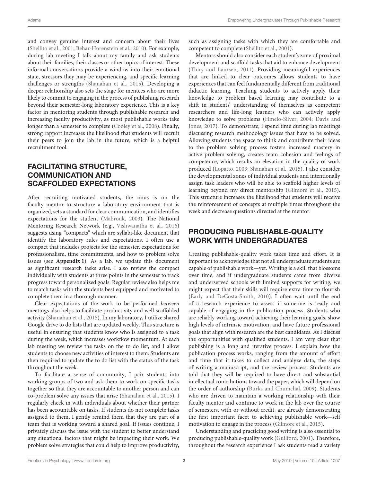and convey genuine interest and concern about their lives [\(Shellito et al., 2001;](#page-4-1) [Behar-Horenstein et al., 2010\)](#page-3-6). For example, during lab meeting I talk about my family and ask students about their families, their classes or other topics of interest. These informal conversations provide a window into their emotional state, stressors they may be experiencing, and specific learning challenges or strengths [\(Shanahan et al., 2015\)](#page-4-4). Developing a deeper relationship also sets the stage for mentees who are more likely to commit to engaging in the process of publishing research beyond their semester-long laboratory experience. This is a key factor in mentoring students through publishable research and increasing faculty productivity, as most publishable works take longer than a semester to complete [\(Cooley et al., 2008\)](#page-3-7). Finally, strong rapport increases the likelihood that students will recruit their peers to join the lab in the future, which is a helpful recruitment tool.

## FACILITATING STRUCTURE, COMMUNICATION AND SCAFFOLDED EXPECTATIONS

After recruiting motivated students, the onus is on the faculty mentor to structure a laboratory environment that is organized, sets a standard for clear communication, and identifies expectations for the student [\(Mabrouk, 2003\)](#page-3-8). The National Mentoring Research Network (e.g., [Vishwanatha et al., 2016\)](#page-4-5) suggests using "compacts" which are syllabi-like document that identify the laboratory rules and expectations. I often use a compact that includes projects for the semester, expectations for professionalism, time commitments, and how to problem solve issues (see **[Appendix 1](#page-3-9)**). As a lab, we update this document as significant research tasks arise. I also review the compact individually with students at three points in the semester to track progress toward personalized goals. Regular review also helps me to match tasks with the students best equipped and motivated to complete them in a thorough manner.

Clear expectations of the work to be performed between meetings also helps to facilitate productivity and well scaffolded activity [\(Shanahan et al., 2015\)](#page-4-4). In my laboratory, I utilize shared Google drive to do lists that are updated weekly. This structure is useful in ensuring that students know who is assigned to a task during the week, which increases workflow momentum. At each lab meeting we review the tasks on the to do list, and I allow students to choose new activities of interest to them. Students are then required to update the to do list with the status of the task throughout the week.

To facilitate a sense of community, I pair students into working groups of two and ask them to work on specific tasks together so that they are accountable to another person and can co-problem solve any issues that arise [\(Shanahan et al., 2015\)](#page-4-4). I regularly check in with individuals about whether their partner has been accountable on tasks. If students do not complete tasks assigned to them, I gently remind them that they are part of a team that is working toward a shared goal. If issues continue, I privately discuss the issue with the student to better understand any situational factors that might be impacting their work. We problem solve strategies that could help to improve productivity, such as assigning tasks with which they are comfortable and competent to complete [\(Shellito et al., 2001\)](#page-4-1).

Mentors should also consider each student's zone of proximal development and scaffold tasks that aid to enhance development [\(Thiry and Laursen, 2011\)](#page-4-6). Providing meaningful experiences that are linked to clear outcomes allows students to have experiences that can feel fundamentally different from traditional didactic learning. Teaching students to actively apply their knowledge to problem based learning may contribute to a shift in students' understanding of themselves as competent researchers and life-long learners who can actively apply knowledge to solve problems [\(Hmelo-Silver, 2004;](#page-3-10) Davis and Jones, [2017\)](#page-3-2). To demonstrate, I spend time during lab meetings discussing research methodology issues that have to be solved. Allowing students the space to think and contribute their ideas to the problem solving process fosters increased mastery in active problem solving, creates team cohesion and feelings of competence, which results an elevation in the quality of work produced [\(Lopatto, 2003;](#page-3-11) [Shanahan et al., 2015\)](#page-4-4). I also consider the developmental zones of individual students and intentionally assign task leaders who will be able to scaffold higher levels of learning beyond my direct mentorship [\(Gilmore et al., 2015\)](#page-3-12). This structure increases the likelihood that students will receive the reinforcement of concepts at multiple times throughout the week and decrease questions directed at the mentor.

## PRODUCING PUBLISHABLE-QUALITY WORK WITH UNDERGRADUATES

Creating publishable-quality work takes time and effort. It is important to acknowledge that not all undergraduate students are capable of publishable work—yet. Writing is a skill that blossoms over time, and if undergraduate students came from diverse and underserved schools with limited supports for writing, we might expect that their skills will require extra time to flourish [\(Early and DeCosta-Smith, 2010\)](#page-3-13). I often wait until the end of a research experience to assess if someone is ready and capable of engaging in the publication process. Students who are reliably working toward achieving their learning goals, show high levels of intrinsic motivation, and have future professional goals that align with research are the best candidates. As I discuss the opportunities with qualified students, I am very clear that publishing is a long and iterative process. I explain how the publication process works, ranging from the amount of effort and time that it takes to collect and analyze data, the steps of writing a manuscript, and the review process. Students are told that they will be required to have direct and substantial intellectual contributions toward the paper, which will depend on the order of authorship [\(Burks and Chumchal, 2009\)](#page-3-14). Students who are driven to maintain a working relationship with their faculty mentor and continue to work in the lab over the course of semesters, with or without credit, are already demonstrating the first important facet to achieving publishable work—self motivation to engage in the process [\(Gilmore et al., 2015\)](#page-3-12).

Understanding and practicing good writing is also essential to producing publishable-quality work [\(Guilford, 2001\)](#page-3-15). Therefore, throughout the research experience I ask students read a variety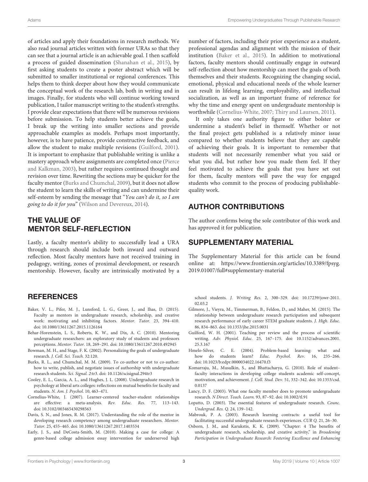of articles and apply their foundations in research methods. We also read journal articles written with former URAs so that they can see that a journal article is an achievable goal. I then scaffold a process of guided dissemination [\(Shanahan et al., 2015\)](#page-4-4), by first asking students to create a poster abstract which will be submitted to smaller institutional or regional conferences. This helps them to think deeper about how they would communicate the conceptual work of the research lab, both in writing and in images. Finally, for students who will continue working toward publication, I tailor manuscript writing to the student's strengths. I provide clear expectations that there will be numerous revisions before submission. To help students better achieve the goals, I break up the writing into smaller sections and provide approachable examples as models. Perhaps most importantly, however, is to have patience, provide constructive feedback, and allow the student to make multiple revisions [\(Guilford, 2001\)](#page-3-15). It is important to emphasize that publishable writing is unlike a mastery approach where assignments are completed once (Pierce and Kalkman, [2003\)](#page-4-7), but rather requires continued thought and revision over time. Rewriting the sections may be quicker for the faculty mentor [\(Burks and Chumchal, 2009\)](#page-3-14), but it does not allow the student to learn the skills of writing and can undermine their self-esteem by sending the message that "You can't do it, so I am going to do it for you" [\(Wilson and Devereux, 2014\)](#page-4-8).

## THE VALUE OF MENTOR SELF-REFLECTION

Lastly, a faculty mentor's ability to successfully lead a URA through research should include both inward and outward reflection. Most faculty mentors have not received training in pedagogy, writing, zones of proximal development, or research mentorship. However, faculty are intrinsically motivated by a

## **REFERENCES**

- <span id="page-3-16"></span>Baker, V. L., Pifer, M. J., Lunsford, L. G., Greer, J., and Ihas, D. (2015). Faculty as mentors in undergraduate research, scholarship, and creative work: motivating and inhibiting factors. Mentor. Tutor. 23, 394–410. doi: [10.1080/13611267.2015.1126164](https://doi.org/10.1080/13611267.2015.1126164)
- <span id="page-3-6"></span>Behar-Horenstein, L. S., Roberts, K. W., and Dix, A. C. (2010). Mentoring undergraduate researchers: an exploratory study of students and professors perceptions. Mentor. Tutor. 18, 269–291. doi: [10.1080/13611267.2010.492945](https://doi.org/10.1080/13611267.2010.492945)
- <span id="page-3-0"></span>Bowman, M. H., and Stage, F. K. (2002). Personalizing the goals of undergraduate research. J. Coll. Sci. Teach. 32:120.
- <span id="page-3-14"></span>Burks, R. L., and Chumchal, M. M. (2009). To co-author or not to co-author: how to write, publish, and negotiate issues of authorship with undergraduate research students. Sci. Signal. 2:tr3. doi: [10.1126/scisignal.294tr3](https://doi.org/10.1126/scisignal.294tr3)
- <span id="page-3-7"></span>Cooley, E. L., Garcia, A. L., and Hughes, J. L. (2008). Undergraduate research in psychology at liberal arts colleges: reflections on mutual benefits for faculty and students. N. Am. J. Psychol. 10, 463–471.
- <span id="page-3-4"></span>Cornelius-White, J. (2007). Learner-centered teacher-student relationships are effective: a meta-analysis. Rev. Educ. Res. 77, 113–143. doi: [10.3102/003465430298563](https://doi.org/10.3102/003465430298563)
- <span id="page-3-2"></span>Davis, S. N., and Jones, R. M. (2017). Understanding the role of the mentor in developing research competency among undergraduate researchers. Mentor. Tutor. 25, 455–465. doi: [10.1080/13611267.2017.1403534](https://doi.org/10.1080/13611267.2017.1403534)
- <span id="page-3-13"></span>Early, J. S., and DeCosta-Smith, M. (2010). Making a case for college: A genre-based college admission essay intervention for underserved high

number of factors, including their prior experience as a student, professional agendas and alignment with the mission of their institution [\(Baker et al., 2015\)](#page-3-16). In addition to motivational factors, faculty mentors should continually engage in outward self-reflection about how mentorship can meet the goals of both themselves and their students. Recognizing the changing social, emotional, physical and educational needs of the whole learner can result in lifelong learning, employability, and intellectual socialization, as well as an important frame of reference for why the time and energy spent on undergraduate mentorship is worthwhile [\(Cornelius-White, 2007;](#page-3-4) [Thiry and Laursen, 2011\)](#page-4-6).

It only takes one authority figure to either bolster or undermine a student's belief in themself. Whether or not the final project gets published is a relatively minor issue compared to whether students believe that they are capable of achieving their goals. It is important to remember that students will not necessarily remember what you said or what you did, but rather how you made them feel. If they feel motivated to achieve the goals that you have set out for them, faculty mentors will pave the way for engaged students who commit to the process of producing publishablequality work.

## AUTHOR CONTRIBUTIONS

The author confirms being the sole contributor of this work and has approved it for publication.

## SUPPLEMENTARY MATERIAL

<span id="page-3-9"></span>The Supplementary Material for this article can be found [online at: https://www.frontiersin.org/articles/10.3389/fpsyg.](https://www.frontiersin.org/articles/10.3389/fpsyg.2019.01007/full#supplementary-material) 2019.01007/full#supplementary-material

school students. J. Writing Res. [2, 300–329. doi: 10.17239/jowr-2011.](https://doi.org/10.17239/jowr-2011.02.03.2) 02.03.2

- <span id="page-3-12"></span>Gilmore, J., Vieyra, M., Timmerman, B., Feldon, D., and Maher, M. (2015). The relationship between undergraduate research participation and subsequent research performance of early career STEM graduate students. J. High. Educ. 86, 834–863. doi: [10.1353/jhe.2015.0031](https://doi.org/10.1353/jhe.2015.0031)
- <span id="page-3-15"></span>Guilford, W. H. (2001). Teaching per review and the process of scientific writing. Adv. Physiol. Educ. [25, 167–175. doi: 10.1152/advances.2001.](https://doi.org/10.1152/advances.2001.25.3.167) 25.3.167
- <span id="page-3-10"></span>Hmelo-Silver, C. E. (2004). Problem-based learning: what and how do students learn? Educ. Psychol. Rev. 16, 235-266. doi: [10.1023/b:edpr.0000034022.16470.f3](https://doi.org/10.1023/b:edpr.0000034022.16470.f3)
- <span id="page-3-5"></span>Komarraju, M., Musulkin, S., and Bhattacharya, G. (2010). Role of student– faculty interactions in developing college students academic self-concept, motivation, and achievement. J. Coll. Stud. Dev. [51, 332–342. doi: 10.1353/csd.](https://doi.org/10.1353/csd.0.0137) 0.0137
- <span id="page-3-3"></span>Lancy, D. F. (2003). What one faculty member does to promote undergraduate research. N Direct. Teach. Learn. 93, 87–92. doi: [10.1002/tl.91](https://doi.org/10.1002/tl.91)
- <span id="page-3-11"></span>Lopatto, D. (2003). The essential features of undergraduate research. Counc. Undergrad. Res. Q. 24, 139–142.
- <span id="page-3-8"></span>Mabrouk, P. A. (2003). Research learning contracts: a useful tool for facilitating successful undergraduate research experiences. CUR Q. 21, 26–30.
- <span id="page-3-1"></span>Osborn, J. M., and Karukstis, K. K. (2009). "Chapter: 4 The benefits of undergraduate research, scholarship, and creative activity," in Broadening Participation in Undergraduate Research: Fostering Excellence and Enhancing